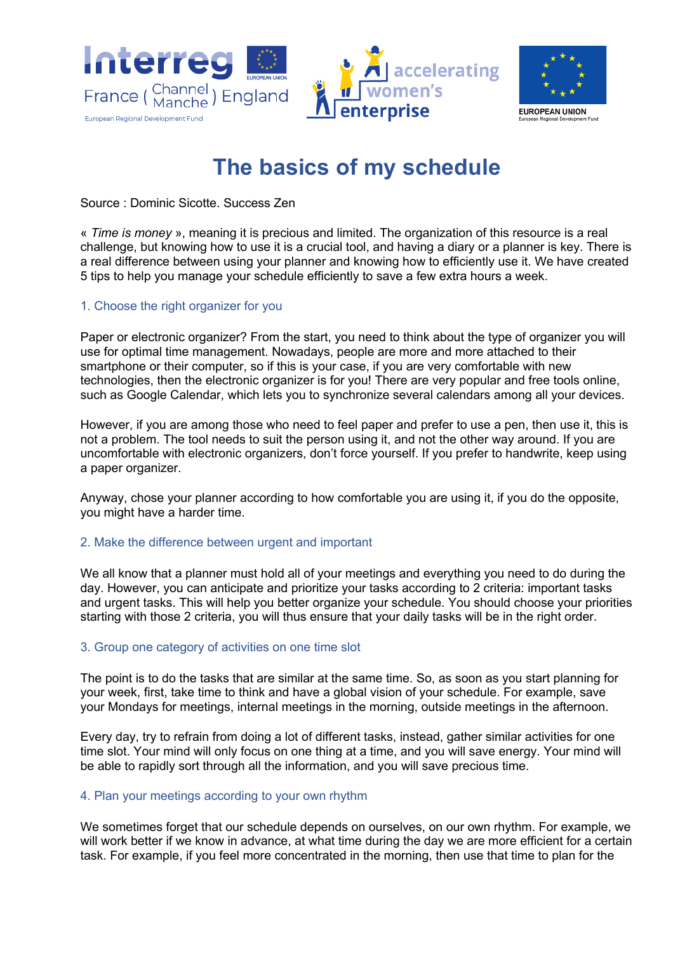



# **The basics of my schedule**

Source : Dominic Sicotte. Success Zen

« *Time is money* », meaning it is precious and limited. The organization of this resource is a real challenge, but knowing how to use it is a crucial tool, and having a diary or a planner is key. There is a real difference between using your planner and knowing how to efficiently use it. We have created 5 tips to help you manage your schedule efficiently to save a few extra hours a week.

## 1. Choose the right organizer for you

Paper or electronic organizer? From the start, you need to think about the type of organizer you will use for optimal time management. Nowadays, people are more and more attached to their smartphone or their computer, so if this is your case, if you are very comfortable with new technologies, then the electronic organizer is for you! There are very popular and free tools online, such as Google Calendar, which lets you to synchronize several calendars among all your devices.

However, if you are among those who need to feel paper and prefer to use a pen, then use it, this is not a problem. The tool needs to suit the person using it, and not the other way around. If you are uncomfortable with electronic organizers, don't force yourself. If you prefer to handwrite, keep using a paper organizer.

Anyway, chose your planner according to how comfortable you are using it, if you do the opposite, you might have a harder time.

## 2. Make the difference between urgent and important

We all know that a planner must hold all of your meetings and everything you need to do during the day. However, you can anticipate and prioritize your tasks according to 2 criteria: important tasks and urgent tasks. This will help you better organize your schedule. You should choose your priorities starting with those 2 criteria, you will thus ensure that your daily tasks will be in the right order.

## 3. Group one category of activities on one time slot

The point is to do the tasks that are similar at the same time. So, as soon as you start planning for your week, first, take time to think and have a global vision of your schedule. For example, save your Mondays for meetings, internal meetings in the morning, outside meetings in the afternoon.

Every day, try to refrain from doing a lot of different tasks, instead, gather similar activities for one time slot. Your mind will only focus on one thing at a time, and you will save energy. Your mind will be able to rapidly sort through all the information, and you will save precious time.

## 4. Plan your meetings according to your own rhythm

We sometimes forget that our schedule depends on ourselves, on our own rhythm. For example, we will work better if we know in advance, at what time during the day we are more efficient for a certain task. For example, if you feel more concentrated in the morning, then use that time to plan for the